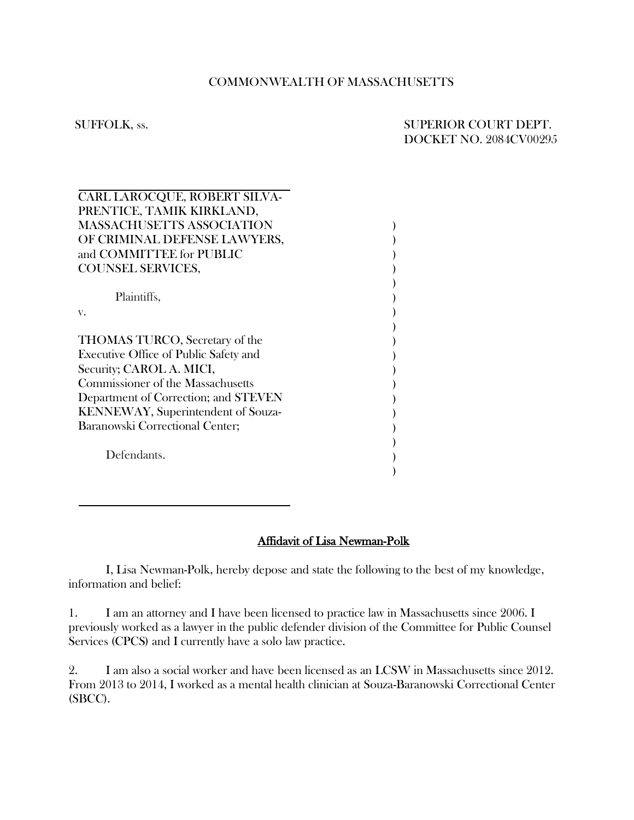## COMMONWEALTH OF MASSACHUSETTS

# SUFFOLK, ss. SUPERIOR COURT DEPT. DOCKET NO. 2084CV00295

| CARL LAROCQUE, ROBERT SILVA-              |  |
|-------------------------------------------|--|
| PRENTICE, TAMIK KIRKLAND,                 |  |
| <b>MASSACHUSETTS ASSOCIATION</b>          |  |
| OF CRIMINAL DEFENSE LAWYERS,              |  |
| and COMMITTEE for PUBLIC                  |  |
| <b>COUNSEL SERVICES,</b>                  |  |
|                                           |  |
| Plaintiffs,                               |  |
| V.                                        |  |
|                                           |  |
| <b>THOMAS TURCO</b> , Secretary of the    |  |
| Executive Office of Public Safety and     |  |
| Security; CAROL A. MICI,                  |  |
| <b>Commissioner of the Massachusetts</b>  |  |
| Department of Correction; and STEVEN      |  |
| <b>KENNEWAY, Superintendent of Souza-</b> |  |
| Baranowski Correctional Center;           |  |
|                                           |  |
| Defendants.                               |  |
|                                           |  |
|                                           |  |

### Affidavit of Lisa Newman-Polk

I, Lisa Newman-Polk, hereby depose and state the following to the best of my knowledge, information and belief:

1. I am an attorney and I have been licensed to practice law in Massachusetts since 2006. I previously worked as a lawyer in the public defender division of the Committee for Public Counsel Services (CPCS) and I currently have a solo law practice.

2. I am also a social worker and have been licensed as an LCSW in Massachusetts since 2012. From 2013 to 2014, I worked as a mental health clinician at Souza-Baranowski Correctional Center (SBCC).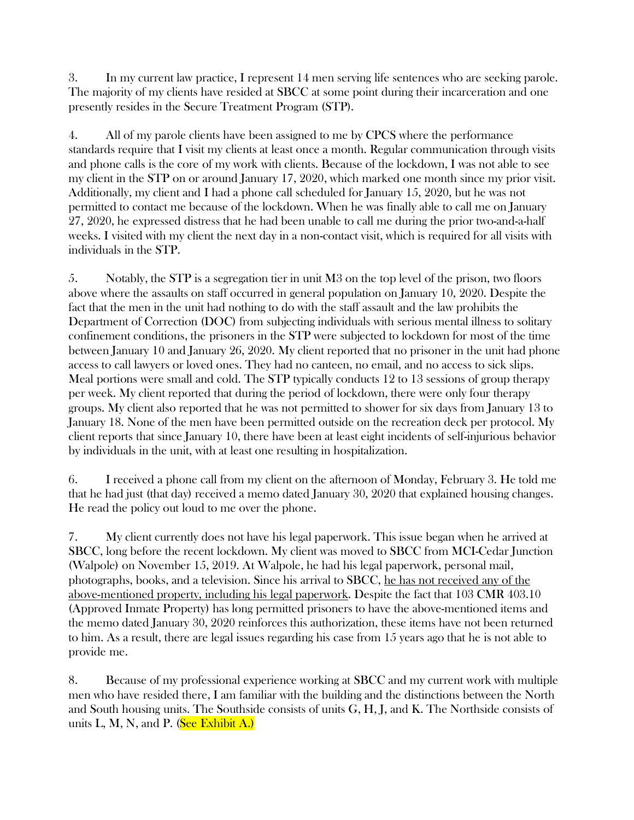3. In my current law practice, I represent 14 men serving life sentences who are seeking parole. The majority of my clients have resided at SBCC at some point during their incarceration and one presently resides in the Secure Treatment Program (STP).

4. All of my parole clients have been assigned to me by CPCS where the performance standards require that I visit my clients at least once a month. Regular communication through visits and phone calls is the core of my work with clients. Because of the lockdown, I was not able to see my client in the STP on or around January 17, 2020, which marked one month since my prior visit. Additionally, my client and I had a phone call scheduled for January 15, 2020, but he was not permitted to contact me because of the lockdown. When he was finally able to call me on January 27, 2020, he expressed distress that he had been unable to call me during the prior two-and-a-half weeks. I visited with my client the next day in a non-contact visit, which is required for all visits with individuals in the STP.

5. Notably, the STP is a segregation tier in unit M3 on the top level of the prison, two floors above where the assaults on staff occurred in general population on January 10, 2020. Despite the fact that the men in the unit had nothing to do with the staff assault and the law prohibits the Department of Correction (DOC) from subjecting individuals with serious mental illness to solitary confinement conditions, the prisoners in the STP were subjected to lockdown for most of the time between January 10 and January 26, 2020. My client reported that no prisoner in the unit had phone access to call lawyers or loved ones. They had no canteen, no email, and no access to sick slips. Meal portions were small and cold. The STP typically conducts 12 to 13 sessions of group therapy per week. My client reported that during the period of lockdown, there were only four therapy groups. My client also reported that he was not permitted to shower for six days from January 13 to January 18. None of the men have been permitted outside on the recreation deck per protocol. My client reports that since January 10, there have been at least eight incidents of self-injurious behavior by individuals in the unit, with at least one resulting in hospitalization.

6. I received a phone call from my client on the afternoon of Monday, February 3. He told me that he had just (that day) received a memo dated January 30, 2020 that explained housing changes. He read the policy out loud to me over the phone.

7. My client currently does not have his legal paperwork. This issue began when he arrived at SBCC, long before the recent lockdown. My client was moved to SBCC from MCI-Cedar Junction (Walpole) on November 15, 2019. At Walpole, he had his legal paperwork, personal mail, photographs, books, and a television. Since his arrival to SBCC, he has not received any of the above-mentioned property, including his legal paperwork. Despite the fact that 103 CMR 403.10 (Approved Inmate Property) has long permitted prisoners to have the above-mentioned items and the memo dated January 30, 2020 reinforces this authorization, these items have not been returned to him. As a result, there are legal issues regarding his case from 15 years ago that he is not able to provide me.

8. Because of my professional experience working at SBCC and my current work with multiple men who have resided there, I am familiar with the building and the distinctions between the North and South housing units. The Southside consists of units G, H, J, and K. The Northside consists of units L, M, N, and P. (See Exhibit A.)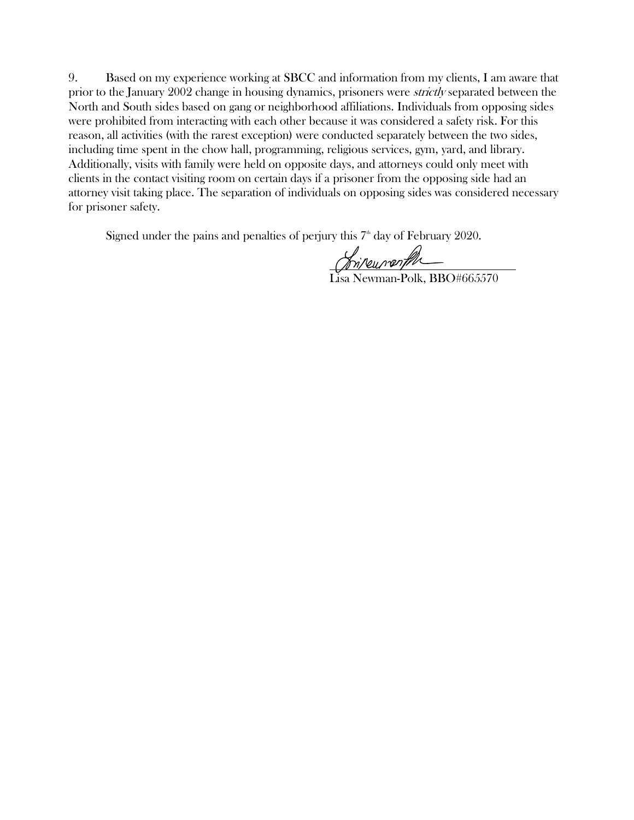9. Based on my experience working at SBCC and information from my clients, I am aware that prior to the January 2002 change in housing dynamics, prisoners were strictly separated between the North and South sides based on gang or neighborhood affiliations. Individuals from opposing sides were prohibited from interacting with each other because it was considered a safety risk. For this reason, all activities (with the rarest exception) were conducted separately between the two sides, including time spent in the chow hall, programming, religious services, gym, yard, and library. Additionally, visits with family were held on opposite days, and attorneys could only meet with clients in the contact visiting room on certain days if a prisoner from the opposing side had an attorney visit taking place. The separation of individuals on opposing sides was considered necessary for prisoner safety.

Signed under the pains and penalties of perjury this  $7<sup>th</sup>$  day of February 2020.

Lisa Newman-Polk, BBO#665570